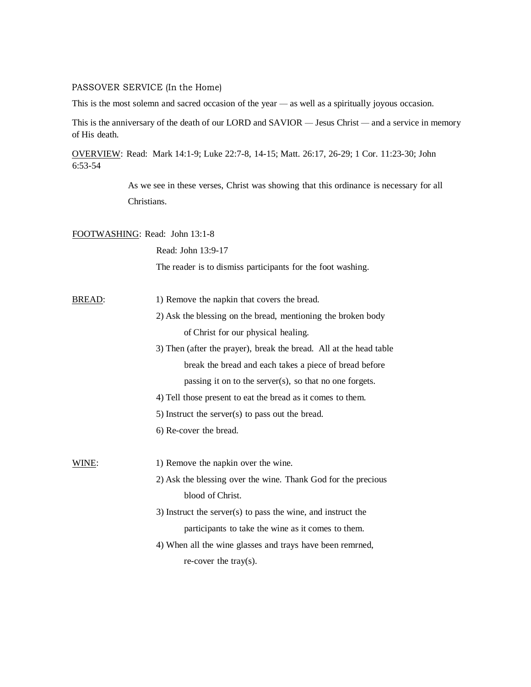## PASSOVER SERVICE (In the Home)

This is the most solemn and sacred occasion of the year — as well as a spiritually joyous occasion.

This is the anniversary of the death of our LORD and SAVIOR — Jesus Christ — and a service in memory of His death.

OVERVIEW: Read: Mark 14:1-9; Luke 22:7-8, 14-15; Matt. 26:17, 26-29; 1 Cor. 11:23-30; John 6:53-54

> As we see in these verses, Christ was showing that this ordinance is necessary for all Christians.

## FOOTWASHING: Read: John 13:1-8

Read: John 13:9-17

The reader is to dismiss participants for the foot washing.

- BREAD: 1) Remove the napkin that covers the bread.
	- 2) Ask the blessing on the bread, mentioning the broken body of Christ for our physical healing.
	- 3) Then (after the prayer), break the bread. All at the head table break the bread and each takes a piece of bread before passing it on to the server(s), so that no one forgets.
	- 4) Tell those present to eat the bread as it comes to them.
	- 5) Instruct the server(s) to pass out the bread.
	- 6) Re-cover the bread.

WINE: 1) Remove the napkin over the wine.

> 2) Ask the blessing over the wine. Thank God for the precious blood of Christ.

- 3) Instruct the server(s) to pass the wine, and instruct the participants to take the wine as it comes to them.
- 4) When all the wine glasses and trays have been remrned, re-cover the tray(s).